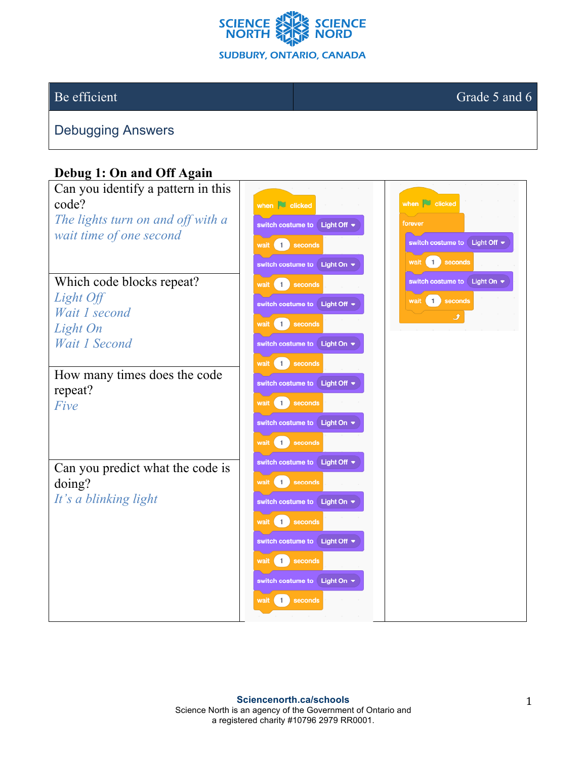

Be efficient Grade 5 and 6

Debugging Answers

## **Debug 1: On and Off Again**

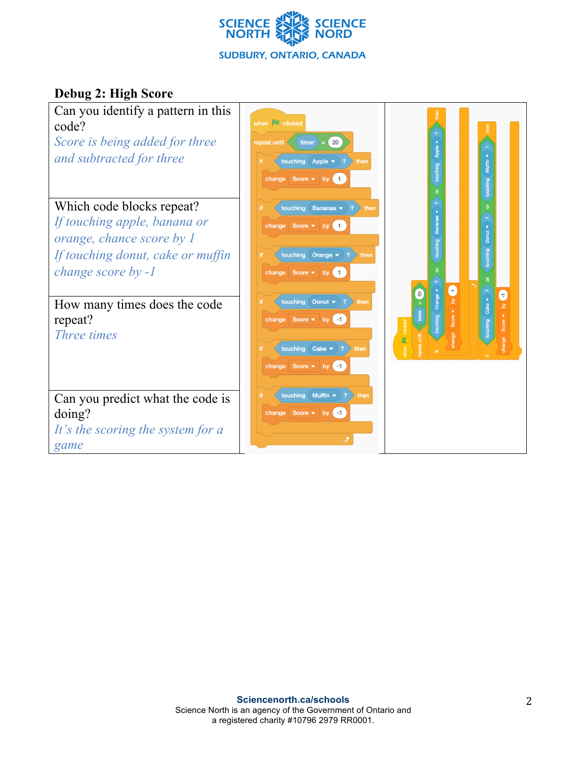

## **Debug 2: High Score**

| when $\Box$ clicked<br>timer<br>20<br>repeat until<br>touching Apple<br>$\rightarrow$ 2<br>then<br>change Score v by 1                   | Apple<br>touching                                                |
|------------------------------------------------------------------------------------------------------------------------------------------|------------------------------------------------------------------|
| touching Bananas $\bullet$ ?<br>then<br>if.<br>change Score v by 1                                                                       |                                                                  |
| touching<br>Orange $\blacktriangledown$<br>$ 2\rangle$<br>then<br>change Score $\bullet$ by 1                                            |                                                                  |
| Donut $\bullet$ 2<br>touching<br>then<br>change Score v by 1                                                                             | C<br>touching Orange<br>20<br>0<br>Cake •<br>touching<br>clicked |
| change Score $\blacktriangleright$ by $\blacktriangleleft$<br>touching Muffin $\blacktriangleright$<br> ?<br>then<br>change Score • by 1 |                                                                  |
|                                                                                                                                          | touching $\mathsf{Cache}\rightarrow ?$ then<br>Ĵ                 |